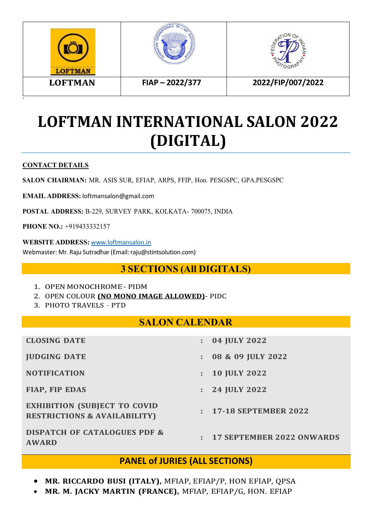

# **LOFTMAN INTERNATIONAL SALON 2022 (DIGITAL)**

#### **CONTACT DETAILS**

**SALON CHAIRMAN:** MR. ASIS SUR, EFIAP, ARPS, FFIP, Hon. PESGSPC, GPA.PESGSPC

**EMAIL ADDRESS:** [loftmansalon@gmail.com](mailto:loftmansalon@gmail.com)

POSTAL ADDRESS: B-229, SURVEY PARK, KOLKATA- 700075, INDIA

**PHONE NO.:** +919433332157

**WEBSITE ADDRESS:** [www.loftmansalon.in](http://www.loftmansalon.in/) Webmaster: Mr. Raju Sutradhar (Email: raju@stintsolution.com)

## **3 SECTIONS (All DIGITALS)**

- 1. OPEN MONOCHROME PIDM
- 2. OPEN COLOUR **(NO MONO IMAGE ALLOWED)** PIDC
- 3. PHOTO TRAVELS PTD

#### **SALON CALENDAR**

| <b>CLOSING DATE</b>                                                            | ÷.             | 04 JULY 2022                |  |
|--------------------------------------------------------------------------------|----------------|-----------------------------|--|
| <b>JUDGING DATE</b>                                                            | ÷.             | 08 & 09 JULY 2022           |  |
| <b>NOTIFICATION</b>                                                            |                | $: 10$ JULY 2022            |  |
| <b>FIAP, FIP EDAS</b>                                                          | $\mathbb{R}^n$ | 24 JULY 2022                |  |
| <b>EXHIBITION (SUBJECT TO COVID</b><br><b>RESTRICTIONS &amp; AVAILABILITY)</b> |                | : 17-18 SEPTEMBER 2022      |  |
| <b>DISPATCH OF CATALOGUES PDF &amp;</b><br><b>AWARD</b>                        |                | : 17 SEPTEMBER 2022 ONWARDS |  |

#### **PANEL of JURIES (ALL SECTIONS)**

- **MR. RICCARDO BUSI (ITALY),** MFIAP, EFIAP/P, HON EFIAP, QPSA
- **MR. M. JACKY MARTIN (FRANCE),** MFIAP, EFIAP/G, HON. EFIAP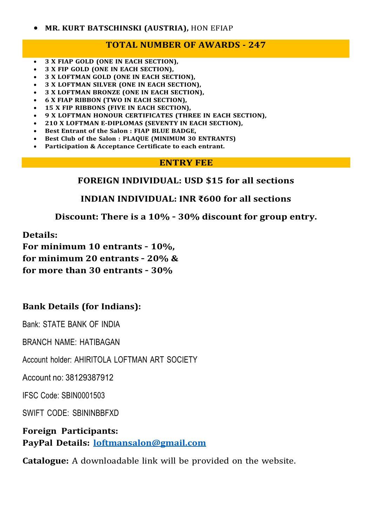#### **TOTAL NUMBER OF AWARDS - 247**

- **3 X FIAP GOLD (ONE IN EACH SECTION),**
- **3 X FIP GOLD (ONE IN EACH SECTION),**
- **3 X LOFTMAN GOLD (ONE IN EACH SECTION),**
- **3 X LOFTMAN SILVER (ONE IN EACH SECTION),**
- **3 X LOFTMAN BRONZE (ONE IN EACH SECTION),**
- **6 X FIAP RIBBON (TWO IN EACH SECTION),**
- **15 X FIP RIBBONS (FIVE IN EACH SECTION),**
- **9 X LOFTMAN HONOUR CERTIFICATES (THREE IN EACH SECTION),**
- **210 X LOFTMAN E-DIPLOMAS (SEVENTY IN EACH SECTION),**
- **Best Entrant of the Salon : FIAP BLUE BADGE,**
- **Best Club of the Salon : PLAQUE (MINIMUM 30 ENTRANTS)**
- **Participation & Acceptance Certificate to each entrant.**

#### **ENTRY FEE**

#### **FOREIGN INDIVIDUAL: USD \$15 for all sections**

#### **INDIAN INDIVIDUAL: INR ₹600 for all sections**

**Discount: There is a 10% – 30% discount for group entry.**

**Details:**

**For minimum 10 entrants – 10%, for minimum 20 entrants – 20% & for more than 30 entrants – 30%**

## **Bank Details (for Indians):**

Bank: STATE BANK OF INDIA

BRANCH NAME: HATIBAGAN

Account holder: AHIRITOLA LOFTMAN ART SOCIETY

Account no: 38129387912

IFSC Code: SBIN0001503

SWIFT CODE: SBININBBFXD

**Foreign Participants: PayPal Details: [loftmansalon@gmail.com](mailto:loftmansalon@gmail.com)**

**Catalogue:** A downloadable link will be provided on the website.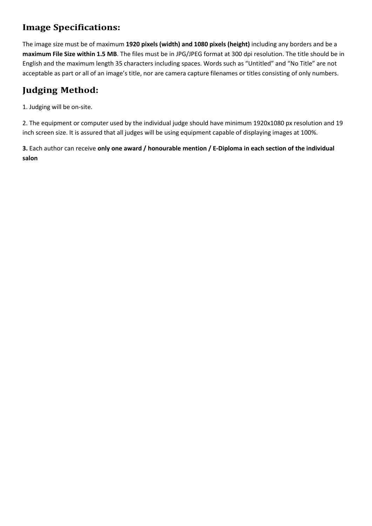## **Image Specifications:**

The image size must be of maximum **1920 pixels (width) and 1080 pixels (height)** including any borders and be a **maximum File Size within 1.5 MB**. The files must be in JPG/JPEG format at 300 dpi resolution. The title should be in English and the maximum length 35 characters including spaces. Words such as "Untitled" and "No Title" are not acceptable as part or all of an image's title, nor are camera capture filenames or titles consisting of only numbers.

## **Judging Method:**

1. Judging will be on-site.

2. The equipment or computer used by the individual judge should have minimum 1920x1080 px resolution and 19 inch screen size. It is assured that all judges will be using equipment capable of displaying images at 100%.

**3.** Each author can receive **only one award / honourable mention / E-Diploma in each section of the individual salon**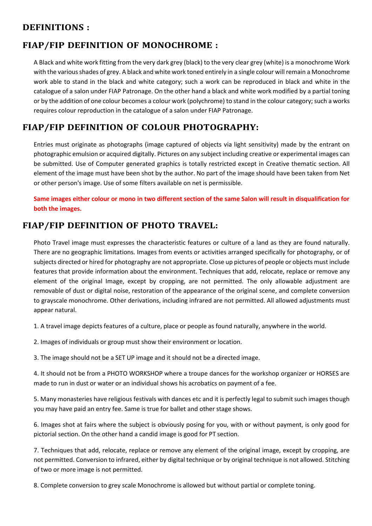#### **DEFINITIONS :**

## **FIAP/FIP DEFINITION OF MONOCHROME :**

A Black and white work fitting from the very dark grey (black) to the very clear grey (white) is a monochrome Work with the various shades of grey. A black and white work toned entirely in a single colour will remain a Monochrome work able to stand in the black and white category; such a work can be reproduced in black and white in the catalogue of a salon under FIAP Patronage. On the other hand a black and white work modified by a partial toning or by the addition of one colour becomes a colour work (polychrome) to stand in the colour category; such a works requires colour reproduction in the catalogue of a salon under FIAP Patronage.

## **FIAP/FIP DEFINITION OF COLOUR PHOTOGRAPHY:**

Entries must originate as photographs (image captured of objects via light sensitivity) made by the entrant on photographic emulsion or acquired digitally. Pictures on any subject including creative or experimental images can be submitted. Use of Computer generated graphics is totally restricted except in Creative thematic section. All element of the image must have been shot by the author. No part of the image should have been taken from Net or other person's image. Use of some filters available on net is permissible.

Same images either colour or mono in two different section of the same Salon will result in disqualification for **both the images.**

#### **FIAP/FIP DEFINITION OF PHOTO TRAVEL:**

Photo Travel image must expresses the characteristic features or culture of a land as they are found naturally. There are no geographic limitations. Images from events or activities arranged specifically for photography, or of subjects directed or hired for photography are not appropriate. Close up pictures of people or objects must include features that provide information about the environment. Techniques that add, relocate, replace or remove any element of the original Image, except by cropping, are not permitted. The only allowable adjustment are removable of dust or digital noise, restoration of the appearance of the original scene, and complete conversion to grayscale monochrome. Other derivations, including infrared are not permitted. All allowed adjustments must appear natural.

1. A travel image depicts features of a culture, place or people as found naturally, anywhere in the world.

2. Images of individuals or group must show their environment or location.

3. The image should not be a SET UP image and it should not be a directed image.

4. It should not be from a PHOTO WORKSHOP where a troupe dances for the workshop organizer or HORSES are made to run in dust or water or an individual shows his acrobatics on payment of a fee.

5. Many monasteries have religious festivals with dances etc and it is perfectly legal to submit such images though you may have paid an entry fee. Same is true for ballet and other stage shows.

6. Images shot at fairs where the subject is obviously posing for you, with or without payment, is only good for pictorial section. On the other hand a candid image is good for PT section.

7. Techniques that add, relocate, replace or remove any element of the original image, except by cropping, are not permitted. Conversion to infrared, either by digital technique or by original technique is not allowed. Stitching of two or more image is not permitted.

8. Complete conversion to grey scale Monochrome is allowed but without partial or complete toning.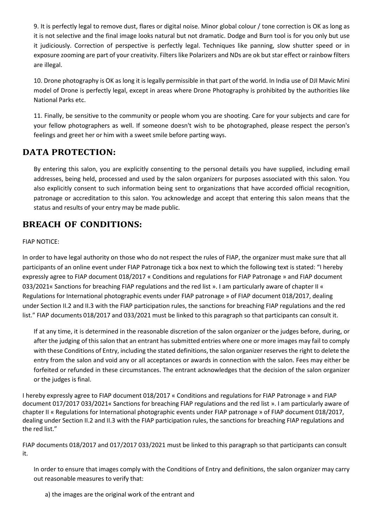9. It is perfectly legal to remove dust, flares or digital noise. Minor global colour / tone correction is OK as long as it is not selective and the final image looks natural but not dramatic. Dodge and Burn tool is for you only but use it judiciously. Correction of perspective is perfectly legal. Techniques like panning, slow shutter speed or in exposure zooming are part of your creativity. Filters like Polarizers and NDs are ok but star effect or rainbow filters are illegal.

10. Drone photography is OK aslong it is legally permissible in that part of the world. In India use of DJI Mavic Mini model of Drone is perfectly legal, except in areas where Drone Photography is prohibited by the authorities like National Parks etc.

11. Finally, be sensitive to the community or people whom you are shooting. Care for your subjects and care for your fellow photographers as well. If someone doesn't wish to be photographed, please respect the person's feelings and greet her or him with a sweet smile before parting ways.

#### **DATA PROTECTION:**

By entering this salon, you are explicitly consenting to the personal details you have supplied, including email addresses, being held, processed and used by the salon organizers for purposes associated with this salon. You also explicitly consent to such information being sent to organizations that have accorded official recognition, patronage or accreditation to this salon. You acknowledge and accept that entering this salon means that the status and results of your entry may be made public.

#### **BREACH OF CONDITIONS:**

#### FIAP NOTICE:

In order to have legal authority on those who do not respect the rules of FIAP, the organizer must make sure that all participants of an online event under FIAP Patronage tick a box next to which the following text is stated: "I hereby expressly agree to FIAP document 018/2017 « Conditions and regulations for FIAP Patronage » and FIAP document 033/2021« Sanctions for breaching FIAP regulations and the red list ». I am particularly aware of chapter II « Regulations for International photographic events under FIAP patronage » of FIAP document 018/2017, dealing under Section II.2 and II.3 with the FIAP participation rules, the sanctions for breaching FIAP regulations and the red list." FIAP documents 018/2017 and 033/2021 must be linked to this paragraph so that participants can consult it.

If at any time, it is determined in the reasonable discretion of the salon organizer or the judges before, during, or after the judging of this salon that an entrant has submitted entries where one ormore images may fail to comply with these Conditions of Entry, including the stated definitions, the salon organizer reservesthe right to delete the entry from the salon and void any or all acceptances or awards in connection with the salon. Fees may either be forfeited or refunded in these circumstances. The entrant acknowledges that the decision of the salon organizer or the judges is final.

I hereby expressly agree to FIAP document 018/2017 « Conditions and regulations for FIAP Patronage » and FIAP document 017/2017 033/2021« Sanctions for breaching FIAP regulations and the red list ». I am particularly aware of chapter II « Regulations for International photographic events under FIAP patronage » of FIAP document 018/2017, dealing under Section II.2 and II.3 with the FIAP participation rules, the sanctions for breaching FIAP regulations and

the red list."<br>FIAP documents 018/2017 and 017/2017 033/2021 must be linked to this paragraph so that participants can consult it.

In order to ensure that images comply with the Conditions of Entry and definitions, the salon organizer may carry out reasonable measures to verify that:

a) the images are the original work of the entrant and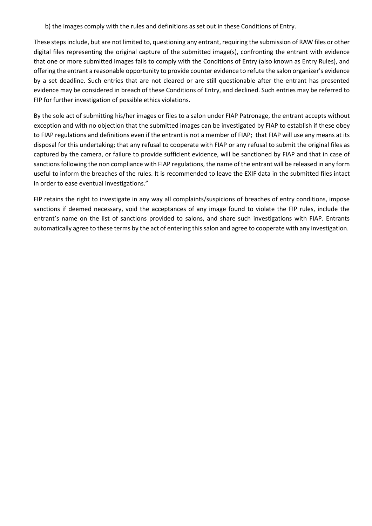b) the images comply with the rules and definitions as set out in these Conditions of Entry.

These steps include, but are not limited to, questioning any entrant, requiring the submission of RAW files or other digital files representing the original capture of the submitted image(s), confronting the entrant with evidence that one or more submitted images fails to comply with the Conditions of Entry (also known as Entry Rules), and offering the entrant a reasonable opportunity to provide counter evidence to refute the salon organizer's evidence by a set deadline. Such entries that are not cleared or are still questionable after the entrant has presented evidence may be considered in breach of these Conditions of Entry, and declined. Such entries may be referred to FIP for further investigation of possible ethics violations.

By the sole act of submitting his/her images or files to a salon under FIAP Patronage, the entrant accepts without exception and with no objection that the submitted images can be investigated by FIAP to establish if these obey to FIAP regulations and definitions even if the entrant is not a member of FIAP; that FIAP will use any means at its disposal for this undertaking; that any refusal to cooperate with FIAP or any refusal to submit the original files as captured by the camera, or failure to provide sufficient evidence, will be sanctioned by FIAP and that in case of sanctions following the non compliance with FIAP regulations, the name of the entrant will be released in any form useful to inform the breaches of the rules. It is recommended to leave the EXIF data in the submitted files intact in order to ease eventual investigations."

FIP retains the right to investigate in any way all complaints/suspicions of breaches of entry conditions, impose sanctions if deemed necessary, void the acceptances of any image found to violate the FIP rules, include the entrant's name on the list of sanctions provided to salons, and share such investigations with FIAP. Entrants automatically agree to these terms by the act of entering this salon and agree to cooperate with any investigation.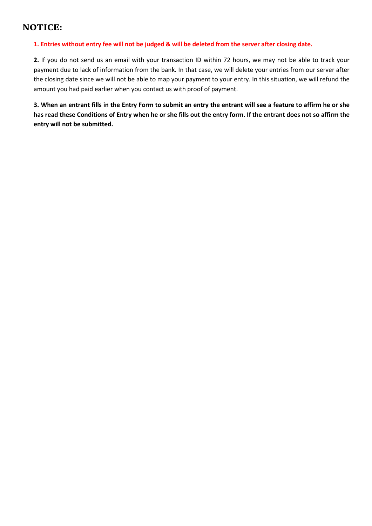#### **NOTICE:**

#### 1. Entries without entry fee will not be judged & will be deleted from the server after closing date.

**2.** If you do not send us an email with your transaction ID within 72 hours, we may not be able to track your payment due to lack of information from the bank. In that case, we will delete your entries from our server after the closing date since we will not be able to map your payment to your entry. In this situation, we will refund the amount you had paid earlier when you contact us with proof of payment.

3. When an entrant fills in the Entry Form to submit an entry the entrant will see a feature to affirm he or she has read these Conditions of Entry when he or she fills out the entry form. If the entrant does not so affirm the **entry will not be submitted.**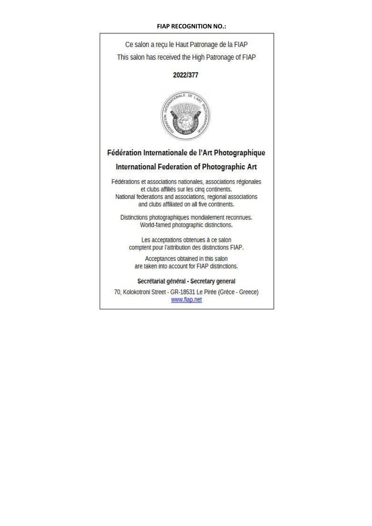#### **FIAP RECOGNITION NO.:**